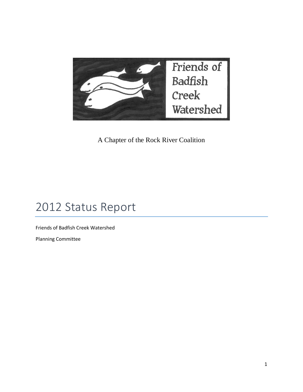

A Chapter of the Rock River Coalition

# 2012 Status Report

Friends of Badfish Creek Watershed

Planning Committee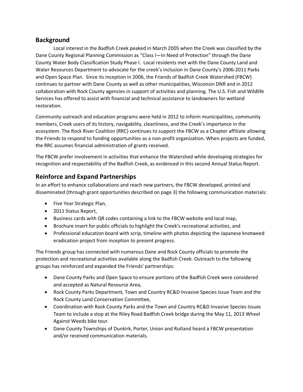#### **Background**

Local interest in the Badfish Creek peaked in March 2005 when the Creek was classified by the Dane County Regional Planning Commission as "Class I—In Need of Protection" through the Dane County Water Body Classification Study Phase I. Local residents met with the Dane County Land and Water Resources Department to advocate for the creek's inclusion in Dane County's 2006-2011 Parks and Open Space Plan. Since its inception in 2006, the Friends of Badfish Creek Watershed (FBCW) continues to partner with Dane County as well as other municipalities, Wisconsin DNR and in 2012 collaboration with Rock County agencies in support of activities and planning. The U.S. Fish and Wildlife Services has offered to assist with financial and technical assistance to landowners for wetland restoration.

Community outreach and education programs were held in 2012 to inform municipalities, community members, Creek users of its history, navigability, cleanliness, and the Creek's importance in the ecosystem. The Rock River Coalition (RRC) continues to support the FBCW as a Chapter affiliate allowing the Friends to respond to funding opportunities as a non-profit organization. When projects are funded, the RRC assumes financial administration of grants received.

The FBCW prefer involvement in activities that enhance the Watershed while developing strategies for recognition and respectability of the Badfish Creek, as evidenced in this second Annual Status Report.

### **Reinforce and Expand Partnerships**

In an effort to enhance collaborations and reach new partners, the FBCW developed, printed and disseminated (through grant opportunities described on page 3) the following communication materials:

- Five Year Strategic Plan,
- 2011 Status Report,
- Business cards with QR codes containing a link to the FBCW website and local map,
- Brochure insert for public officials to highlight the Creek's recreational activities, and
- Professional education board with scrip, timeline with photos depicting the Japanese knotweed eradication project from inception to present progress.

The Friends group has connected with numerous Dane and Rock County officials to promote the protection and recreational activities available along the Badfish Creek. Outreach to the following groups has reinforced and expanded the Friends' partnerships:

- Dane County Parks and Open Space to ensure portions of the Badfish Creek were considered and accepted as Natural Resource Area,
- Rock County Parks Department, Town and Country RC&D Invasive Species Issue Team and the Rock County Land Conservation Committee,
- Coordination with Rock County Parks and the Town and Country RC&D Invasive Species Issues Team to include a stop at the Riley Road Badfish Creek bridge during the May 11, 2013 Wheel Against Weeds bike tour.
- Dane County Townships of Dunkirk, Porter, Union and Rutland heard a FBCW presentation and/or received communication materials.